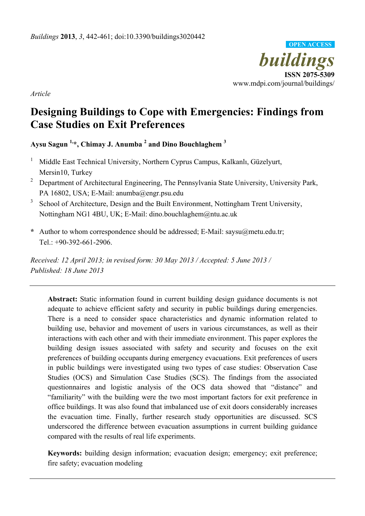

*Article* 

# **Designing Buildings to Cope with Emergencies: Findings from Case Studies on Exit Preferences**

**Aysu Sagun 1,\*, Chimay J. Anumba 2 and Dino Bouchlaghem <sup>3</sup>**

- 1 Middle East Technical University, Northern Cyprus Campus, Kalkanlı, Güzelyurt, Mersin10, Turkey
- <sup>2</sup> Department of Architectural Engineering, The Pennsylvania State University, University Park, PA 16802, USA; E-Mail: anumba@engr.psu.edu
- 3 School of Architecture, Design and the Built Environment, Nottingham Trent University, Nottingham NG1 4BU, UK; E-Mail: dino.bouchlaghem@ntu.ac.uk
- **\*** Author to whom correspondence should be addressed; E-Mail: saysu@metu.edu.tr; Tel.: +90-392-661-2906.

*Received: 12 April 2013; in revised form: 30 May 2013 / Accepted: 5 June 2013 / Published: 18 June 2013* 

**Abstract:** Static information found in current building design guidance documents is not adequate to achieve efficient safety and security in public buildings during emergencies. There is a need to consider space characteristics and dynamic information related to building use, behavior and movement of users in various circumstances, as well as their interactions with each other and with their immediate environment. This paper explores the building design issues associated with safety and security and focuses on the exit preferences of building occupants during emergency evacuations. Exit preferences of users in public buildings were investigated using two types of case studies: Observation Case Studies (OCS) and Simulation Case Studies (SCS). The findings from the associated questionnaires and logistic analysis of the OCS data showed that "distance" and "familiarity" with the building were the two most important factors for exit preference in office buildings. It was also found that imbalanced use of exit doors considerably increases the evacuation time. Finally, further research study opportunities are discussed. SCS underscored the difference between evacuation assumptions in current building guidance compared with the results of real life experiments.

**Keywords:** building design information; evacuation design; emergency; exit preference; fire safety; evacuation modeling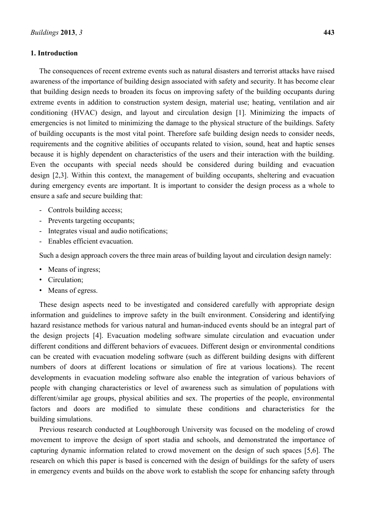### **1. Introduction**

The consequences of recent extreme events such as natural disasters and terrorist attacks have raised awareness of the importance of building design associated with safety and security. It has become clear that building design needs to broaden its focus on improving safety of the building occupants during extreme events in addition to construction system design, material use; heating, ventilation and air conditioning (HVAC) design, and layout and circulation design [1]. Minimizing the impacts of emergencies is not limited to minimizing the damage to the physical structure of the buildings. Safety of building occupants is the most vital point. Therefore safe building design needs to consider needs, requirements and the cognitive abilities of occupants related to vision, sound, heat and haptic senses because it is highly dependent on characteristics of the users and their interaction with the building. Even the occupants with special needs should be considered during building and evacuation design [2,3]. Within this context, the management of building occupants, sheltering and evacuation during emergency events are important. It is important to consider the design process as a whole to ensure a safe and secure building that:

- Controls building access;
- Prevents targeting occupants;
- Integrates visual and audio notifications;
- Enables efficient evacuation.

Such a design approach covers the three main areas of building layout and circulation design namely:

- Means of ingress;
- Circulation;
- Means of egress.

These design aspects need to be investigated and considered carefully with appropriate design information and guidelines to improve safety in the built environment. Considering and identifying hazard resistance methods for various natural and human-induced events should be an integral part of the design projects [4]. Evacuation modeling software simulate circulation and evacuation under different conditions and different behaviors of evacuees. Different design or environmental conditions can be created with evacuation modeling software (such as different building designs with different numbers of doors at different locations or simulation of fire at various locations). The recent developments in evacuation modeling software also enable the integration of various behaviors of people with changing characteristics or level of awareness such as simulation of populations with different/similar age groups, physical abilities and sex. The properties of the people, environmental factors and doors are modified to simulate these conditions and characteristics for the building simulations.

Previous research conducted at Loughborough University was focused on the modeling of crowd movement to improve the design of sport stadia and schools, and demonstrated the importance of capturing dynamic information related to crowd movement on the design of such spaces [5,6]. The research on which this paper is based is concerned with the design of buildings for the safety of users in emergency events and builds on the above work to establish the scope for enhancing safety through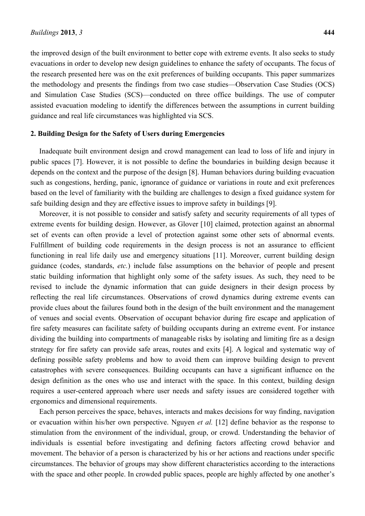the improved design of the built environment to better cope with extreme events. It also seeks to study evacuations in order to develop new design guidelines to enhance the safety of occupants. The focus of the research presented here was on the exit preferences of building occupants. This paper summarizes the methodology and presents the findings from two case studies—Observation Case Studies (OCS) and Simulation Case Studies (SCS)—conducted on three office buildings. The use of computer assisted evacuation modeling to identify the differences between the assumptions in current building guidance and real life circumstances was highlighted via SCS.

#### **2. Building Design for the Safety of Users during Emergencies**

Inadequate built environment design and crowd management can lead to loss of life and injury in public spaces [7]. However, it is not possible to define the boundaries in building design because it depends on the context and the purpose of the design [8]. Human behaviors during building evacuation such as congestions, herding, panic, ignorance of guidance or variations in route and exit preferences based on the level of familiarity with the building are challenges to design a fixed guidance system for safe building design and they are effective issues to improve safety in buildings [9].

Moreover, it is not possible to consider and satisfy safety and security requirements of all types of extreme events for building design. However, as Glover [10] claimed, protection against an abnormal set of events can often provide a level of protection against some other sets of abnormal events. Fulfillment of building code requirements in the design process is not an assurance to efficient functioning in real life daily use and emergency situations [11]. Moreover, current building design guidance (codes, standards, *etc.*) include false assumptions on the behavior of people and present static building information that highlight only some of the safety issues. As such, they need to be revised to include the dynamic information that can guide designers in their design process by reflecting the real life circumstances. Observations of crowd dynamics during extreme events can provide clues about the failures found both in the design of the built environment and the management of venues and social events. Observation of occupant behavior during fire escape and application of fire safety measures can facilitate safety of building occupants during an extreme event. For instance dividing the building into compartments of manageable risks by isolating and limiting fire as a design strategy for fire safety can provide safe areas, routes and exits [4]. A logical and systematic way of defining possible safety problems and how to avoid them can improve building design to prevent catastrophes with severe consequences. Building occupants can have a significant influence on the design definition as the ones who use and interact with the space. In this context, building design requires a user-centered approach where user needs and safety issues are considered together with ergonomics and dimensional requirements.

Each person perceives the space, behaves, interacts and makes decisions for way finding, navigation or evacuation within his/her own perspective. Nguyen *et al.* [12] define behavior as the response to stimulation from the environment of the individual, group, or crowd. Understanding the behavior of individuals is essential before investigating and defining factors affecting crowd behavior and movement. The behavior of a person is characterized by his or her actions and reactions under specific circumstances. The behavior of groups may show different characteristics according to the interactions with the space and other people. In crowded public spaces, people are highly affected by one another's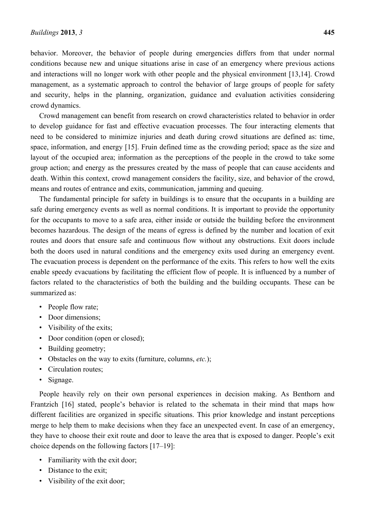crowd dynamics.

behavior. Moreover, the behavior of people during emergencies differs from that under normal conditions because new and unique situations arise in case of an emergency where previous actions and interactions will no longer work with other people and the physical environment [13,14]. Crowd management, as a systematic approach to control the behavior of large groups of people for safety

Crowd management can benefit from research on crowd characteristics related to behavior in order to develop guidance for fast and effective evacuation processes. The four interacting elements that need to be considered to minimize injuries and death during crowd situations are defined as: time, space, information, and energy [15]. Fruin defined time as the crowding period; space as the size and layout of the occupied area; information as the perceptions of the people in the crowd to take some group action; and energy as the pressures created by the mass of people that can cause accidents and death. Within this context, crowd management considers the facility, size, and behavior of the crowd, means and routes of entrance and exits, communication, jamming and queuing.

and security, helps in the planning, organization, guidance and evaluation activities considering

The fundamental principle for safety in buildings is to ensure that the occupants in a building are safe during emergency events as well as normal conditions. It is important to provide the opportunity for the occupants to move to a safe area, either inside or outside the building before the environment becomes hazardous. The design of the means of egress is defined by the number and location of exit routes and doors that ensure safe and continuous flow without any obstructions. Exit doors include both the doors used in natural conditions and the emergency exits used during an emergency event. The evacuation process is dependent on the performance of the exits. This refers to how well the exits enable speedy evacuations by facilitating the efficient flow of people. It is influenced by a number of factors related to the characteristics of both the building and the building occupants. These can be summarized as:

- People flow rate;
- Door dimensions;
- Visibility of the exits;
- Door condition (open or closed);
- Building geometry;
- Obstacles on the way to exits (furniture, columns, *etc.*);
- Circulation routes;
- Signage.

People heavily rely on their own personal experiences in decision making. As Benthorn and Frantzich [16] stated, people's behavior is related to the schemata in their mind that maps how different facilities are organized in specific situations. This prior knowledge and instant perceptions merge to help them to make decisions when they face an unexpected event. In case of an emergency, they have to choose their exit route and door to leave the area that is exposed to danger. People's exit choice depends on the following factors [17–19]:

- Familiarity with the exit door;
- Distance to the exit:
- Visibility of the exit door;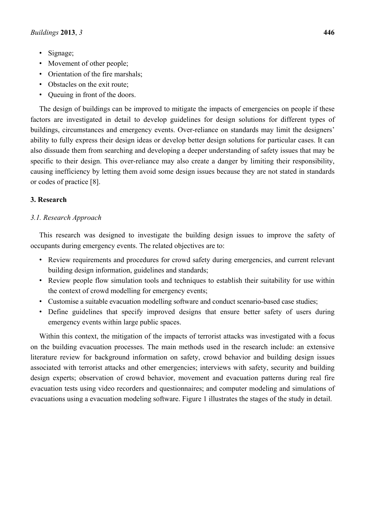- Signage;
- Movement of other people;
- Orientation of the fire marshals;
- Obstacles on the exit route:
- Queuing in front of the doors.

The design of buildings can be improved to mitigate the impacts of emergencies on people if these factors are investigated in detail to develop guidelines for design solutions for different types of buildings, circumstances and emergency events. Over-reliance on standards may limit the designers' ability to fully express their design ideas or develop better design solutions for particular cases. It can also dissuade them from searching and developing a deeper understanding of safety issues that may be specific to their design. This over-reliance may also create a danger by limiting their responsibility, causing inefficiency by letting them avoid some design issues because they are not stated in standards or codes of practice [8].

# **3. Research**

## *3.1. Research Approach*

This research was designed to investigate the building design issues to improve the safety of occupants during emergency events. The related objectives are to:

- Review requirements and procedures for crowd safety during emergencies, and current relevant building design information, guidelines and standards;
- Review people flow simulation tools and techniques to establish their suitability for use within the context of crowd modelling for emergency events;
- Customise a suitable evacuation modelling software and conduct scenario-based case studies;
- Define guidelines that specify improved designs that ensure better safety of users during emergency events within large public spaces.

Within this context, the mitigation of the impacts of terrorist attacks was investigated with a focus on the building evacuation processes. The main methods used in the research include: an extensive literature review for background information on safety, crowd behavior and building design issues associated with terrorist attacks and other emergencies; interviews with safety, security and building design experts; observation of crowd behavior, movement and evacuation patterns during real fire evacuation tests using video recorders and questionnaires; and computer modeling and simulations of evacuations using a evacuation modeling software. Figure 1 illustrates the stages of the study in detail.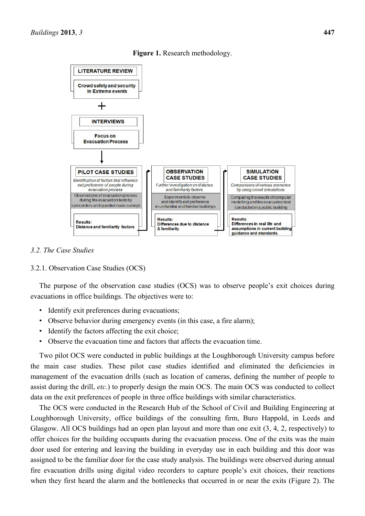

**Figure 1.** Research methodology.

#### *3.2. The Case Studies*

#### 3.2.1. Observation Case Studies (OCS)

The purpose of the observation case studies (OCS) was to observe people's exit choices during evacuations in office buildings. The objectives were to:

- Identify exit preferences during evacuations;
- Observe behavior during emergency events (in this case, a fire alarm);
- Identify the factors affecting the exit choice;
- Observe the evacuation time and factors that affects the evacuation time.

Two pilot OCS were conducted in public buildings at the Loughborough University campus before the main case studies. These pilot case studies identified and eliminated the deficiencies in management of the evacuation drills (such as location of cameras, defining the number of people to assist during the drill, *etc.*) to properly design the main OCS. The main OCS was conducted to collect data on the exit preferences of people in three office buildings with similar characteristics.

The OCS were conducted in the Research Hub of the School of Civil and Building Engineering at Loughborough University, office buildings of the consulting firm, Buro Happold, in Leeds and Glasgow. All OCS buildings had an open plan layout and more than one exit (3, 4, 2, respectively) to offer choices for the building occupants during the evacuation process. One of the exits was the main door used for entering and leaving the building in everyday use in each building and this door was assigned to be the familiar door for the case study analysis. The buildings were observed during annual fire evacuation drills using digital video recorders to capture people's exit choices, their reactions when they first heard the alarm and the bottlenecks that occurred in or near the exits (Figure 2). The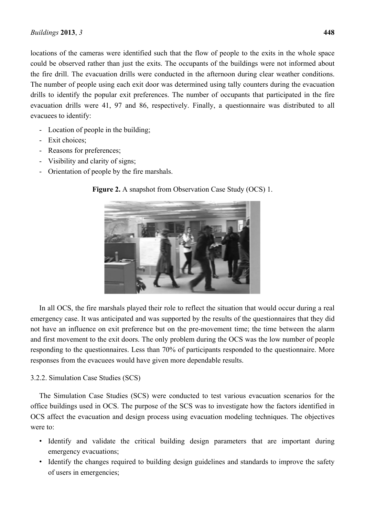locations of the cameras were identified such that the flow of people to the exits in the whole space could be observed rather than just the exits. The occupants of the buildings were not informed about the fire drill. The evacuation drills were conducted in the afternoon during clear weather conditions. The number of people using each exit door was determined using tally counters during the evacuation drills to identify the popular exit preferences. The number of occupants that participated in the fire evacuation drills were 41, 97 and 86, respectively. Finally, a questionnaire was distributed to all evacuees to identify:

- Location of people in the building;
- Exit choices;
- Reasons for preferences;
- Visibility and clarity of signs;
- Orientation of people by the fire marshals.



**Figure 2.** A snapshot from Observation Case Study (OCS) 1.

In all OCS, the fire marshals played their role to reflect the situation that would occur during a real emergency case. It was anticipated and was supported by the results of the questionnaires that they did not have an influence on exit preference but on the pre-movement time; the time between the alarm and first movement to the exit doors. The only problem during the OCS was the low number of people responding to the questionnaires. Less than 70% of participants responded to the questionnaire. More responses from the evacuees would have given more dependable results.

# 3.2.2. Simulation Case Studies (SCS)

The Simulation Case Studies (SCS) were conducted to test various evacuation scenarios for the office buildings used in OCS. The purpose of the SCS was to investigate how the factors identified in OCS affect the evacuation and design process using evacuation modeling techniques. The objectives were to:

- Identify and validate the critical building design parameters that are important during emergency evacuations;
- Identify the changes required to building design guidelines and standards to improve the safety of users in emergencies;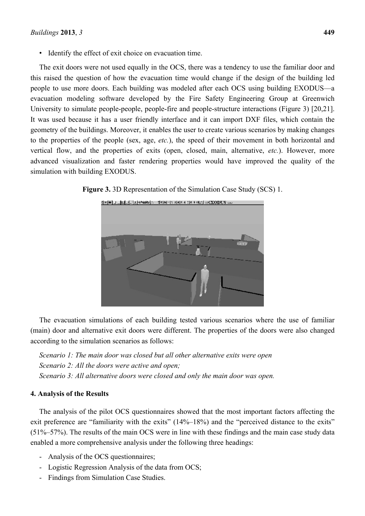• Identify the effect of exit choice on evacuation time.

The exit doors were not used equally in the OCS, there was a tendency to use the familiar door and this raised the question of how the evacuation time would change if the design of the building led people to use more doors. Each building was modeled after each OCS using building EXODUS—a evacuation modeling software developed by the Fire Safety Engineering Group at Greenwich University to simulate people-people, people-fire and people-structure interactions (Figure 3) [20,21]. It was used because it has a user friendly interface and it can import DXF files, which contain the geometry of the buildings. Moreover, it enables the user to create various scenarios by making changes to the properties of the people (sex, age, *etc.*), the speed of their movement in both horizontal and vertical flow, and the properties of exits (open, closed, main, alternative, *etc.*). However, more advanced visualization and faster rendering properties would have improved the quality of the simulation with building EXODUS.



**Figure 3.** 3D Representation of the Simulation Case Study (SCS) 1.

The evacuation simulations of each building tested various scenarios where the use of familiar (main) door and alternative exit doors were different. The properties of the doors were also changed according to the simulation scenarios as follows:

*Scenario 1: The main door was closed but all other alternative exits were open Scenario 2: All the doors were active and open; Scenario 3: All alternative doors were closed and only the main door was open.* 

## **4. Analysis of the Results**

The analysis of the pilot OCS questionnaires showed that the most important factors affecting the exit preference are "familiarity with the exits" (14%–18%) and the "perceived distance to the exits" (51%–57%). The results of the main OCS were in line with these findings and the main case study data enabled a more comprehensive analysis under the following three headings:

- Analysis of the OCS questionnaires;
- Logistic Regression Analysis of the data from OCS;
- Findings from Simulation Case Studies.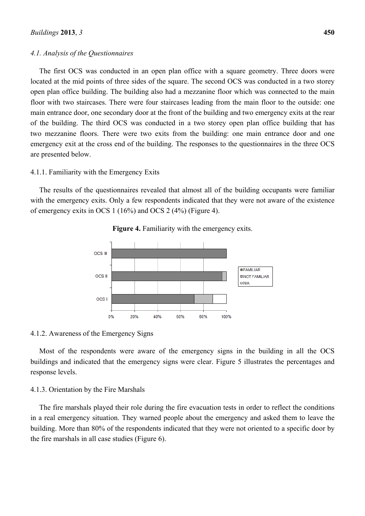## *4.1. Analysis of the Questionnaires*

The first OCS was conducted in an open plan office with a square geometry. Three doors were located at the mid points of three sides of the square. The second OCS was conducted in a two storey open plan office building. The building also had a mezzanine floor which was connected to the main floor with two staircases. There were four staircases leading from the main floor to the outside: one main entrance door, one secondary door at the front of the building and two emergency exits at the rear of the building. The third OCS was conducted in a two storey open plan office building that has two mezzanine floors. There were two exits from the building: one main entrance door and one emergency exit at the cross end of the building. The responses to the questionnaires in the three OCS are presented below.

#### 4.1.1. Familiarity with the Emergency Exits

The results of the questionnaires revealed that almost all of the building occupants were familiar with the emergency exits. Only a few respondents indicated that they were not aware of the existence of emergency exits in OCS 1 (16%) and OCS 2 (4%) (Figure 4).



**Figure 4.** Familiarity with the emergency exits.

#### 4.1.2. Awareness of the Emergency Signs

Most of the respondents were aware of the emergency signs in the building in all the OCS buildings and indicated that the emergency signs were clear. Figure 5 illustrates the percentages and response levels.

#### 4.1.3. Orientation by the Fire Marshals

The fire marshals played their role during the fire evacuation tests in order to reflect the conditions in a real emergency situation. They warned people about the emergency and asked them to leave the building. More than 80% of the respondents indicated that they were not oriented to a specific door by the fire marshals in all case studies (Figure 6).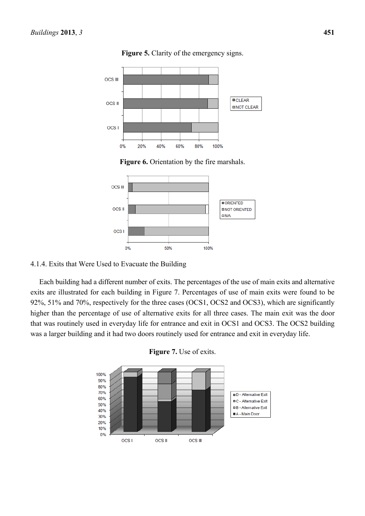

**Figure 5.** Clarity of the emergency signs.

**Figure 6.** Orientation by the fire marshals.



## 4.1.4. Exits that Were Used to Evacuate the Building

Each building had a different number of exits. The percentages of the use of main exits and alternative exits are illustrated for each building in Figure 7. Percentages of use of main exits were found to be 92%, 51% and 70%, respectively for the three cases (OCS1, OCS2 and OCS3), which are significantly higher than the percentage of use of alternative exits for all three cases. The main exit was the door that was routinely used in everyday life for entrance and exit in OCS1 and OCS3. The OCS2 building was a larger building and it had two doors routinely used for entrance and exit in everyday life.



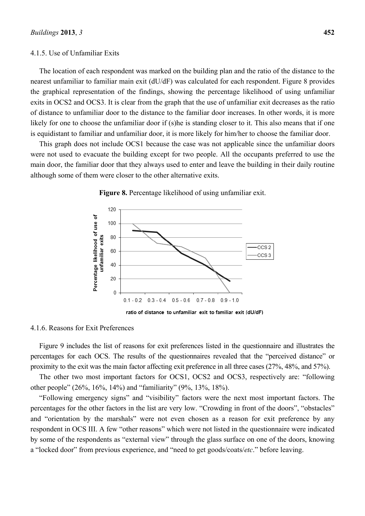#### 4.1.5. Use of Unfamiliar Exits

The location of each respondent was marked on the building plan and the ratio of the distance to the nearest unfamiliar to familiar main exit (dU/dF) was calculated for each respondent. Figure 8 provides the graphical representation of the findings, showing the percentage likelihood of using unfamiliar exits in OCS2 and OCS3. It is clear from the graph that the use of unfamiliar exit decreases as the ratio of distance to unfamiliar door to the distance to the familiar door increases. In other words, it is more likely for one to choose the unfamiliar door if (s)he is standing closer to it. This also means that if one is equidistant to familiar and unfamiliar door, it is more likely for him/her to choose the familiar door.

This graph does not include OCS1 because the case was not applicable since the unfamiliar doors were not used to evacuate the building except for two people. All the occupants preferred to use the main door, the familiar door that they always used to enter and leave the building in their daily routine although some of them were closer to the other alternative exits.



**Figure 8.** Percentage likelihood of using unfamiliar exit.

4.1.6. Reasons for Exit Preferences

Figure 9 includes the list of reasons for exit preferences listed in the questionnaire and illustrates the percentages for each OCS. The results of the questionnaires revealed that the "perceived distance" or proximity to the exit was the main factor affecting exit preference in all three cases (27%, 48%, and 57%).

The other two most important factors for OCS1, OCS2 and OCS3, respectively are: "following other people" (26%, 16%, 14%) and "familiarity" (9%, 13%, 18%).

"Following emergency signs" and "visibility" factors were the next most important factors. The percentages for the other factors in the list are very low. "Crowding in front of the doors", "obstacles" and "orientation by the marshals" were not even chosen as a reason for exit preference by any respondent in OCS III. A few "other reasons" which were not listed in the questionnaire were indicated by some of the respondents as "external view" through the glass surface on one of the doors, knowing a "locked door" from previous experience, and "need to get goods/coats/*etc*." before leaving.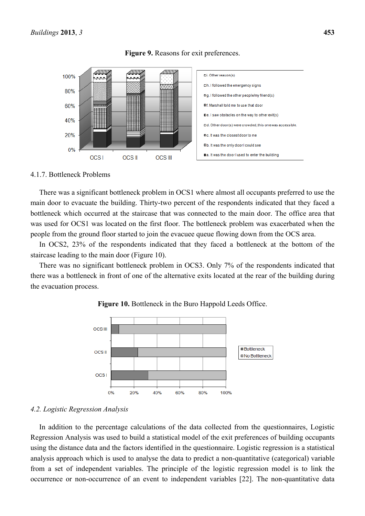



#### 4.1.7. Bottleneck Problems

There was a significant bottleneck problem in OCS1 where almost all occupants preferred to use the main door to evacuate the building. Thirty-two percent of the respondents indicated that they faced a bottleneck which occurred at the staircase that was connected to the main door. The office area that was used for OCS1 was located on the first floor. The bottleneck problem was exacerbated when the people from the ground floor started to join the evacuee queue flowing down from the OCS area.

In OCS2, 23% of the respondents indicated that they faced a bottleneck at the bottom of the staircase leading to the main door (Figure 10).

There was no significant bottleneck problem in OCS3. Only 7% of the respondents indicated that there was a bottleneck in front of one of the alternative exits located at the rear of the building during the evacuation process.



**Figure 10.** Bottleneck in the Buro Happold Leeds Office.

# *4.2. Logistic Regression Analysis*

In addition to the percentage calculations of the data collected from the questionnaires, Logistic Regression Analysis was used to build a statistical model of the exit preferences of building occupants using the distance data and the factors identified in the questionnaire. Logistic regression is a statistical analysis approach which is used to analyse the data to predict a non-quantitative (categorical) variable from a set of independent variables. The principle of the logistic regression model is to link the occurrence or non-occurrence of an event to independent variables [22]. The non-quantitative data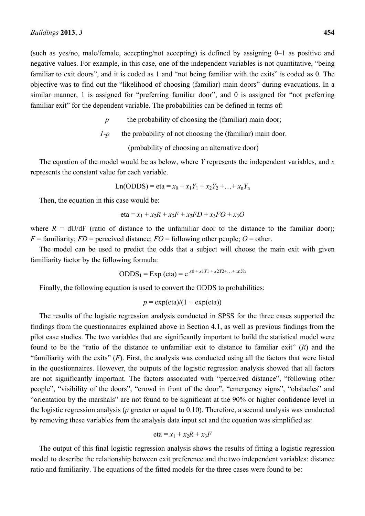(such as yes/no, male/female, accepting/not accepting) is defined by assigning 0–1 as positive and negative values. For example, in this case, one of the independent variables is not quantitative, "being familiar to exit doors", and it is coded as 1 and "not being familiar with the exits" is coded as 0. The objective was to find out the "likelihood of choosing (familiar) main doors" during evacuations. In a similar manner, 1 is assigned for "preferring familiar door", and 0 is assigned for "not preferring familiar exit" for the dependent variable. The probabilities can be defined in terms of:

*p* the probability of choosing the (familiar) main door;

$$
I-p
$$
 the probability of not choosing the (familiar) main door.

(probability of choosing an alternative door)

The equation of the model would be as below, where *Y* represents the independent variables, and *x* represents the constant value for each variable.

Ln(ODDS) = eta = 
$$
x_0 + x_1 Y_1 + x_2 Y_2 + ... + x_n Y_n
$$

Then, the equation in this case would be:

eta = 
$$
x_1
$$
 +  $x_2R$  +  $x_3F$  +  $x_3FD$  +  $x_3FO$  +  $x_3O$ 

where  $R = dU/dF$  (ratio of distance to the unfamiliar door to the distance to the familiar door);  $F =$  familiarity;  $FD =$  perceived distance;  $FO =$  following other people;  $O =$  other.

The model can be used to predict the odds that a subject will choose the main exit with given familiarity factor by the following formula:

$$
ODDS_1 = Exp (eta) = e^{x0 + x1Y1 + x2Y2 + ... + xnYn}
$$

Finally, the following equation is used to convert the ODDS to probabilities:

$$
p = \exp(\text{eta})/(1 + \exp(\text{eta}))
$$

The results of the logistic regression analysis conducted in SPSS for the three cases supported the findings from the questionnaires explained above in Section 4.1, as well as previous findings from the pilot case studies. The two variables that are significantly important to build the statistical model were found to be the "ratio of the distance to unfamiliar exit to distance to familiar exit" (*R*) and the "familiarity with the exits"  $(F)$ . First, the analysis was conducted using all the factors that were listed in the questionnaires. However, the outputs of the logistic regression analysis showed that all factors are not significantly important. The factors associated with "perceived distance", "following other people", "visibility of the doors", "crowd in front of the door", "emergency signs", "obstacles" and "orientation by the marshals" are not found to be significant at the 90% or higher confidence level in the logistic regression analysis (*p* greater or equal to 0.10). Therefore, a second analysis was conducted by removing these variables from the analysis data input set and the equation was simplified as:

eta = 
$$
x_1
$$
 +  $x_2R$  +  $x_3F$ 

The output of this final logistic regression analysis shows the results of fitting a logistic regression model to describe the relationship between exit preference and the two independent variables: distance ratio and familiarity. The equations of the fitted models for the three cases were found to be: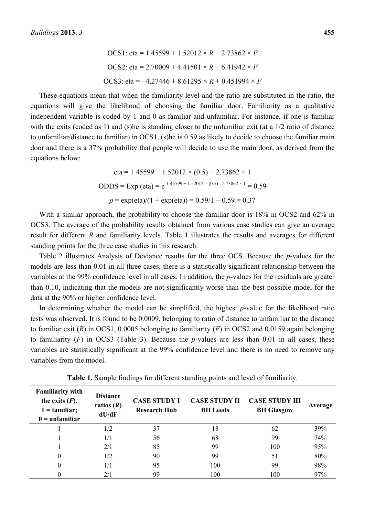\n
$$
\text{OCS1:} \text{ eta} = 1.45599 + 1.52012 \times R - 2.73862 \times F
$$
\n

\n\n $\text{OCS2:} \text{ eta} = 2.70009 + 4.41501 \times R - 6.41942 \times F$ \n

\n\n $\text{OCS3:} \text{ eta} = -4.27446 + 8.61295 \times R + 0.451994 \times F$ \n

These equations mean that when the familiarity level and the ratio are substituted in the ratio, the equations will give the likelihood of choosing the familiar door. Familiarity as a qualitative independent variable is coded by 1 and 0 as familiar and unfamiliar. For instance, if one is familiar with the exits (coded as 1) and (s)he is standing closer to the unfamiliar exit (at a 1/2 ratio of distance to unfamiliar/distance to familiar) in OCS1, (s)he is 0.59 as likely to decide to choose the familiar main door and there is a 37% probability that people will decide to use the main door, as derived from the equations below:

eta = 1.45599 + 1.52012 × (0.5) – 2.73862 × 1  
ODDS = Exp (eta) = e<sup>1.45599 + 1.52012 × (0.5) - 2.73862 × 1 = 0.59  

$$
p = \exp(\text{eta})/(1 + \exp(\text{eta})) = 0.59/1 + 0.59 = 0.37
$$</sup>

With a similar approach, the probability to choose the familiar door is 18% in OCS2 and 62% in OCS3. The average of the probability results obtained from various case studies can give an average result for different *R* and familiarity levels. Table 1 illustrates the results and averages for different standing points for the three case studies in this research.

Table 2 illustrates Analysis of Deviance results for the three OCS. Because the *p*-values for the models are less than 0.01 in all three cases, there is a statistically significant relationship between the variables at the 99% confidence level in all cases. In addition, the *p*-values for the residuals are greater than 0.10, indicating that the models are not significantly worse than the best possible model for the data at the 90% or higher confidence level.

In determining whether the model can be simplified, the highest *p*-value for the likelihood ratio tests was observed. It is found to be 0.0009, belonging to ratio of distance to unfamiliar to the distance to familiar exit (*R*) in OCS1, 0.0005 belonging to familiarity (*F*) in OCS2 and 0.0159 again belonging to familiarity  $(F)$  in OCS3 (Table 3). Because the *p*-values are less than 0.01 in all cases, these variables are statistically significant at the 99% confidence level and there is no need to remove any variables from the model.

| <b>Familiarity with</b><br>the exits $(F)$ .<br>$1 =$ familiar;<br>$0 =$ unfamiliar | <b>Distance</b><br>ratios $(R)$<br>dU/dF | <b>CASE STUDY I</b><br><b>Research Hub</b> | <b>CASE STUDY II</b><br><b>BH</b> Leeds | <b>CASE STUDY III</b><br><b>BH</b> Glasgow | Average |
|-------------------------------------------------------------------------------------|------------------------------------------|--------------------------------------------|-----------------------------------------|--------------------------------------------|---------|
|                                                                                     | 1/2                                      | 37                                         | 18                                      | 62                                         | 39%     |
|                                                                                     | 1/1                                      | 56                                         | 68                                      | 99                                         | 74%     |
|                                                                                     | 2/1                                      | 85                                         | 99                                      | 100                                        | 95%     |
| 0                                                                                   | 1/2                                      | 90                                         | 99                                      | 51                                         | 80%     |
|                                                                                     | 1/1                                      | 95                                         | 100                                     | 99                                         | 98%     |
|                                                                                     | 2/1                                      | 99                                         | 100                                     | 100                                        | 97%     |

**Table 1.** Sample findings for different standing points and level of familiarity.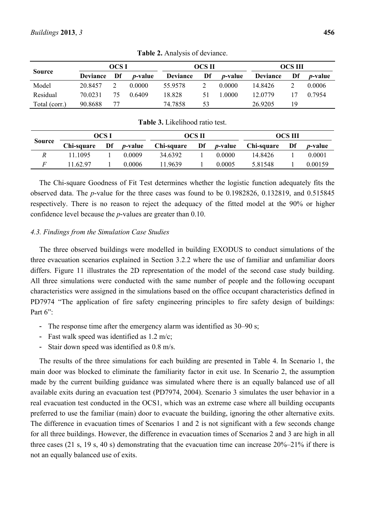|               | OCS I           |    | OCS II          |                 |    | <b>OCS</b> III  |                 |    |                 |
|---------------|-----------------|----|-----------------|-----------------|----|-----------------|-----------------|----|-----------------|
| <b>Source</b> | <b>Deviance</b> | Df | <i>p</i> -value | <b>Deviance</b> | Df | <i>p</i> -value | <b>Deviance</b> | Df | <i>p</i> -value |
| Model         | 20 8457         |    | 0.0000          | 55 9578         |    | 0.0000          | 14 8426         |    | 0.0006          |
| Residual      | 70 0231         | 75 | 0.6409          | 18.828          | 51 | 1.0000          | 12 0779         |    | 0.7954          |
| Total (corr.) | 90.8688         | 77 |                 | 74.7858         | 53 |                 | 26.9205         | 19 |                 |

**Table 2.** Analysis of deviance.

| <b>Table 3.</b> Likelihood fallo lest. |            |    |                 |            |    |                 |            |    |                 |
|----------------------------------------|------------|----|-----------------|------------|----|-----------------|------------|----|-----------------|
|                                        | OCS I      |    |                 | OCS II     |    |                 | OCS III    |    |                 |
| Source                                 | Chi-square | Df | <i>p</i> -value | Chi-square | Df | <i>p</i> -value | Chi-square | Df | <i>p</i> -value |
|                                        | 11 1095    |    | 0.0009          | 34.6392    |    | 0.0000          | 14 8426    |    | 0.0001          |
|                                        | 11 62 97   |    | 0.0006          | 11.9639    |    | 0.0005          | 5 81548    |    | 0.00159         |

**Table 3.** Likelihood ratio test.

The Chi-square Goodness of Fit Test determines whether the logistic function adequately fits the observed data. The *p*-value for the three cases was found to be 0.1982826, 0.132819, and 0.515845 respectively. There is no reason to reject the adequacy of the fitted model at the 90% or higher confidence level because the *p*-values are greater than 0.10.

# *4.3. Findings from the Simulation Case Studies*

The three observed buildings were modelled in building EXODUS to conduct simulations of the three evacuation scenarios explained in Section 3.2.2 where the use of familiar and unfamiliar doors differs. Figure 11 illustrates the 2D representation of the model of the second case study building. All three simulations were conducted with the same number of people and the following occupant characteristics were assigned in the simulations based on the office occupant characteristics defined in PD7974 "The application of fire safety engineering principles to fire safety design of buildings: Part 6":

- The response time after the emergency alarm was identified as  $30-90$  s;
- Fast walk speed was identified as 1.2 m/c;
- Stair down speed was identified as 0.8 m/s.

The results of the three simulations for each building are presented in Table 4. In Scenario 1, the main door was blocked to eliminate the familiarity factor in exit use. In Scenario 2, the assumption made by the current building guidance was simulated where there is an equally balanced use of all available exits during an evacuation test (PD7974, 2004). Scenario 3 simulates the user behavior in a real evacuation test conducted in the OCS1, which was an extreme case where all building occupants preferred to use the familiar (main) door to evacuate the building, ignoring the other alternative exits. The difference in evacuation times of Scenarios 1 and 2 is not significant with a few seconds change for all three buildings. However, the difference in evacuation times of Scenarios 2 and 3 are high in all three cases (21 s, 19 s, 40 s) demonstrating that the evacuation time can increase 20%–21% if there is not an equally balanced use of exits.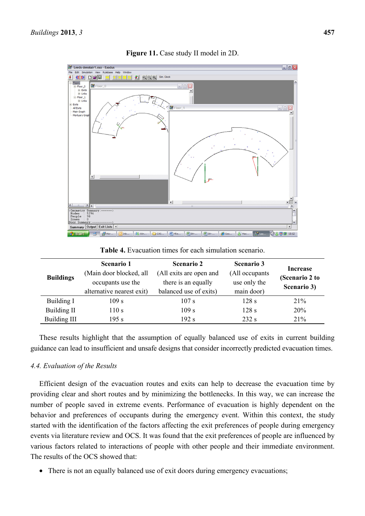

**Figure 11.** Case study II model in 2D.

**Table 4.** Evacuation times for each simulation scenario.

| <b>Buildings</b>    | <b>Scenario 1</b><br>(Main door blocked, all<br>occupants use the<br>alternative nearest exit) | <b>Scenario 2</b><br>(All exits are open and<br>there is an equally<br>balanced use of exits) | <b>Scenario 3</b><br>(All occupants)<br>use only the<br>main door) | Increase<br>(Scenario 2 to<br>Scenario 3) |
|---------------------|------------------------------------------------------------------------------------------------|-----------------------------------------------------------------------------------------------|--------------------------------------------------------------------|-------------------------------------------|
| Building I          | 109 s                                                                                          | 107 s                                                                                         | 128s                                                               | 21%                                       |
| Building II         | 110 s                                                                                          | 109 s                                                                                         | 128s                                                               | 20%                                       |
| <b>Building III</b> | 195 s                                                                                          | 192 s                                                                                         | 232 s                                                              | 21%                                       |

These results highlight that the assumption of equally balanced use of exits in current building guidance can lead to insufficient and unsafe designs that consider incorrectly predicted evacuation times.

## *4.4. Evaluation of the Results*

Efficient design of the evacuation routes and exits can help to decrease the evacuation time by providing clear and short routes and by minimizing the bottlenecks. In this way, we can increase the number of people saved in extreme events. Performance of evacuation is highly dependent on the behavior and preferences of occupants during the emergency event. Within this context, the study started with the identification of the factors affecting the exit preferences of people during emergency events via literature review and OCS. It was found that the exit preferences of people are influenced by various factors related to interactions of people with other people and their immediate environment. The results of the OCS showed that:

• There is not an equally balanced use of exit doors during emergency evacuations;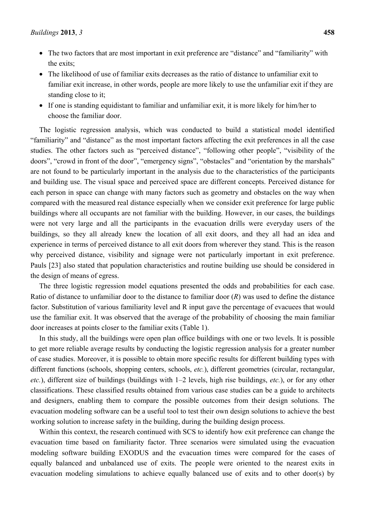- The two factors that are most important in exit preference are "distance" and "familiarity" with the exits;
- The likelihood of use of familiar exits decreases as the ratio of distance to unfamiliar exit to familiar exit increase, in other words, people are more likely to use the unfamiliar exit if they are standing close to it;
- If one is standing equidistant to familiar and unfamiliar exit, it is more likely for him/her to choose the familiar door.

The logistic regression analysis, which was conducted to build a statistical model identified "familiarity" and "distance" as the most important factors affecting the exit preferences in all the case studies. The other factors such as "perceived distance", "following other people", "visibility of the doors", "crowd in front of the door", "emergency signs", "obstacles" and "orientation by the marshals" are not found to be particularly important in the analysis due to the characteristics of the participants and building use. The visual space and perceived space are different concepts. Perceived distance for each person in space can change with many factors such as geometry and obstacles on the way when compared with the measured real distance especially when we consider exit preference for large public buildings where all occupants are not familiar with the building. However, in our cases, the buildings were not very large and all the participants in the evacuation drills were everyday users of the buildings, so they all already knew the location of all exit doors, and they all had an idea and experience in terms of perceived distance to all exit doors from wherever they stand. This is the reason why perceived distance, visibility and signage were not particularly important in exit preference. Pauls [23] also stated that population characteristics and routine building use should be considered in the design of means of egress.

The three logistic regression model equations presented the odds and probabilities for each case. Ratio of distance to unfamiliar door to the distance to familiar door (*R*) was used to define the distance factor. Substitution of various familiarity level and R input gave the percentage of evacuees that would use the familiar exit. It was observed that the average of the probability of choosing the main familiar door increases at points closer to the familiar exits (Table 1).

In this study, all the buildings were open plan office buildings with one or two levels. It is possible to get more reliable average results by conducting the logistic regression analysis for a greater number of case studies. Moreover, it is possible to obtain more specific results for different building types with different functions (schools, shopping centers, schools, *etc.*), different geometries (circular, rectangular, *etc.*), different size of buildings (buildings with 1–2 levels, high rise buildings, *etc.*), or for any other classifications. These classified results obtained from various case studies can be a guide to architects and designers, enabling them to compare the possible outcomes from their design solutions. The evacuation modeling software can be a useful tool to test their own design solutions to achieve the best working solution to increase safety in the building, during the building design process.

Within this context, the research continued with SCS to identify how exit preference can change the evacuation time based on familiarity factor. Three scenarios were simulated using the evacuation modeling software building EXODUS and the evacuation times were compared for the cases of equally balanced and unbalanced use of exits. The people were oriented to the nearest exits in evacuation modeling simulations to achieve equally balanced use of exits and to other door(s) by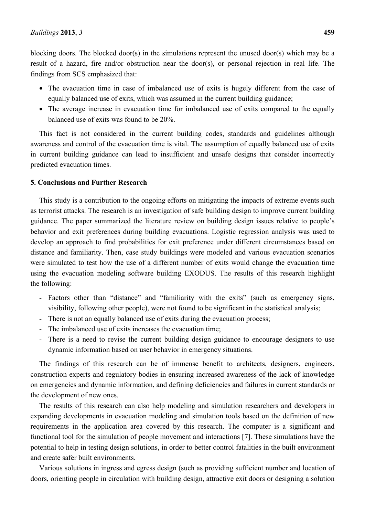blocking doors. The blocked door(s) in the simulations represent the unused door(s) which may be a result of a hazard, fire and/or obstruction near the door(s), or personal rejection in real life. The findings from SCS emphasized that:

- The evacuation time in case of imbalanced use of exits is hugely different from the case of equally balanced use of exits, which was assumed in the current building guidance;
- The average increase in evacuation time for imbalanced use of exits compared to the equally balanced use of exits was found to be 20%.

This fact is not considered in the current building codes, standards and guidelines although awareness and control of the evacuation time is vital. The assumption of equally balanced use of exits in current building guidance can lead to insufficient and unsafe designs that consider incorrectly predicted evacuation times.

#### **5. Conclusions and Further Research**

This study is a contribution to the ongoing efforts on mitigating the impacts of extreme events such as terrorist attacks. The research is an investigation of safe building design to improve current building guidance. The paper summarized the literature review on building design issues relative to people's behavior and exit preferences during building evacuations. Logistic regression analysis was used to develop an approach to find probabilities for exit preference under different circumstances based on distance and familiarity. Then, case study buildings were modeled and various evacuation scenarios were simulated to test how the use of a different number of exits would change the evacuation time using the evacuation modeling software building EXODUS. The results of this research highlight the following:

- Factors other than "distance" and "familiarity with the exits" (such as emergency signs, visibility, following other people), were not found to be significant in the statistical analysis;
- There is not an equally balanced use of exits during the evacuation process;
- The imbalanced use of exits increases the evacuation time;
- There is a need to revise the current building design guidance to encourage designers to use dynamic information based on user behavior in emergency situations.

The findings of this research can be of immense benefit to architects, designers, engineers, construction experts and regulatory bodies in ensuring increased awareness of the lack of knowledge on emergencies and dynamic information, and defining deficiencies and failures in current standards or the development of new ones.

The results of this research can also help modeling and simulation researchers and developers in expanding developments in evacuation modeling and simulation tools based on the definition of new requirements in the application area covered by this research. The computer is a significant and functional tool for the simulation of people movement and interactions [7]. These simulations have the potential to help in testing design solutions, in order to better control fatalities in the built environment and create safer built environments.

Various solutions in ingress and egress design (such as providing sufficient number and location of doors, orienting people in circulation with building design, attractive exit doors or designing a solution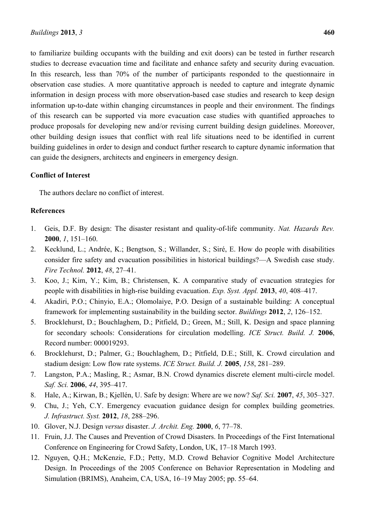to familiarize building occupants with the building and exit doors) can be tested in further research studies to decrease evacuation time and facilitate and enhance safety and security during evacuation. In this research, less than 70% of the number of participants responded to the questionnaire in observation case studies. A more quantitative approach is needed to capture and integrate dynamic information in design process with more observation-based case studies and research to keep design information up-to-date within changing circumstances in people and their environment. The findings of this research can be supported via more evacuation case studies with quantified approaches to produce proposals for developing new and/or revising current building design guidelines. Moreover, other building design issues that conflict with real life situations need to be identified in current building guidelines in order to design and conduct further research to capture dynamic information that can guide the designers, architects and engineers in emergency design.

# **Conflict of Interest**

The authors declare no conflict of interest.

# **References**

- 1. Geis, D.F. By design: The disaster resistant and quality-of-life community. *Nat. Hazards Rev.* **2000**, *1*, 151–160.
- 2. Kecklund, L.; Andrée, K.; Bengtson, S.; Willander, S.; Siré, E. How do people with disabilities consider fire safety and evacuation possibilities in historical buildings?—A Swedish case study. *Fire Technol.* **2012**, *48*, 27–41.
- 3. Koo, J.; Kim, Y.; Kim, B.; Christensen, K. A comparative study of evacuation strategies for people with disabilities in high-rise building evacuation. *Exp. Syst. Appl.* **2013**, *40*, 408–417.
- 4. Akadiri, P.O.; Chinyio, E.A.; Olomolaiye, P.O. Design of a sustainable building: A conceptual framework for implementing sustainability in the building sector. *Buildings* **2012**, *2*, 126–152.
- 5. Brocklehurst, D.; Bouchlaghem, D.; Pitfield, D.; Green, M.; Still, K. Design and space planning for secondary schools: Considerations for circulation modelling. *ICE Struct. Build. J.* **2006**, Record number: 000019293.
- 6. Brocklehurst, D.; Palmer, G.; Bouchlaghem, D.; Pitfield, D.E.; Still, K. Crowd circulation and stadium design: Low flow rate systems. *ICE Struct. Build. J.* **2005**, *158*, 281–289.
- 7. Langston, P.A.; Masling, R.; Asmar, B.N. Crowd dynamics discrete element multi-circle model. *Saf. Sci.* **2006**, *44*, 395–417.
- 8. Hale, A.; Kirwan, B.; Kjellén, U. Safe by design: Where are we now? *Saf. Sci.* **2007**, *45*, 305–327.
- 9. Chu, J.; Yeh, C.Y. Emergency evacuation guidance design for complex building geometries. *J. Infrastruct. Syst.* **2012**, *18*, 288–296.
- 10. Glover, N.J. Design *versus* disaster. *J. Archit. Eng.* **2000**, *6*, 77–78.
- 11. Fruin, J.J. The Causes and Prevention of Crowd Disasters. In Proceedings of the First International Conference on Engineering for Crowd Safety, London, UK, 17–18 March 1993.
- 12. Nguyen, Q.H.; McKenzie, F.D.; Petty, M.D. Crowd Behavior Cognitive Model Architecture Design. In Proceedings of the 2005 Conference on Behavior Representation in Modeling and Simulation (BRIMS), Anaheim, CA, USA, 16–19 May 2005; pp. 55–64.